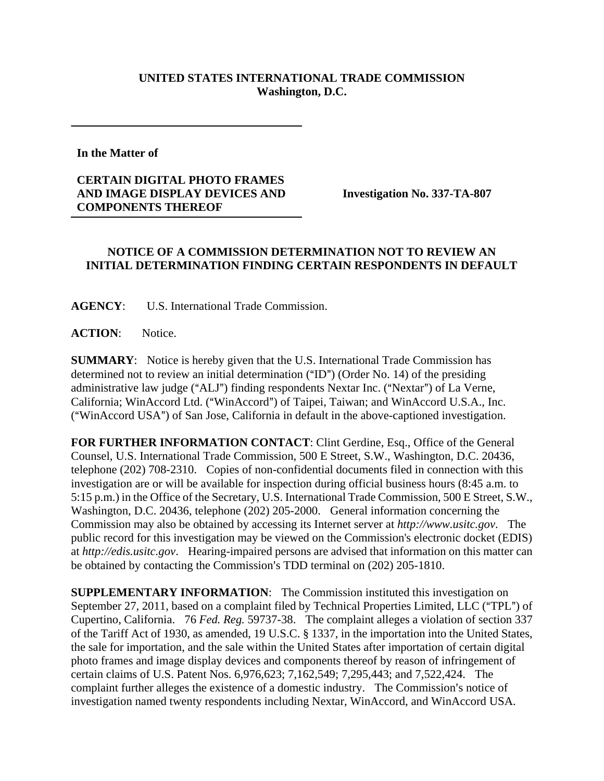## **UNITED STATES INTERNATIONAL TRADE COMMISSION Washington, D.C.**

## **In the Matter of**

## **CERTAIN DIGITAL PHOTO FRAMES AND IMAGE DISPLAY DEVICES AND COMPONENTS THEREOF**

**Investigation No. 337-TA-807** 

## **NOTICE OF A COMMISSION DETERMINATION NOT TO REVIEW AN INITIAL DETERMINATION FINDING CERTAIN RESPONDENTS IN DEFAULT**

**AGENCY**: U.S. International Trade Commission.

**ACTION**: Notice.

**SUMMARY**: Notice is hereby given that the U.S. International Trade Commission has determined not to review an initial determination  $("ID")$  (Order No. 14) of the presiding administrative law judge ("ALJ") finding respondents Nextar Inc. ("Nextar") of La Verne, California; WinAccord Ltd. ("WinAccord") of Taipei, Taiwan; and WinAccord U.S.A., Inc. ("WinAccord USA") of San Jose, California in default in the above-captioned investigation.

**FOR FURTHER INFORMATION CONTACT**: Clint Gerdine, Esq., Office of the General Counsel, U.S. International Trade Commission, 500 E Street, S.W., Washington, D.C. 20436, telephone (202) 708-2310. Copies of non-confidential documents filed in connection with this investigation are or will be available for inspection during official business hours (8:45 a.m. to 5:15 p.m.) in the Office of the Secretary, U.S. International Trade Commission, 500 E Street, S.W., Washington, D.C. 20436, telephone (202) 205-2000. General information concerning the Commission may also be obtained by accessing its Internet server at *http://www.usitc.gov*. The public record for this investigation may be viewed on the Commission's electronic docket (EDIS) at *http://edis.usitc.gov*. Hearing-impaired persons are advised that information on this matter can be obtained by contacting the Commission's TDD terminal on (202) 205-1810.

**SUPPLEMENTARY INFORMATION**: The Commission instituted this investigation on September 27, 2011, based on a complaint filed by Technical Properties Limited, LLC ("TPL") of Cupertino, California. 76 *Fed. Reg.* 59737-38. The complaint alleges a violation of section 337 of the Tariff Act of 1930, as amended, 19 U.S.C. § 1337, in the importation into the United States, the sale for importation, and the sale within the United States after importation of certain digital photo frames and image display devices and components thereof by reason of infringement of certain claims of U.S. Patent Nos. 6,976,623; 7,162,549; 7,295,443; and 7,522,424. The complaint further alleges the existence of a domestic industry. The Commission's notice of investigation named twenty respondents including Nextar, WinAccord, and WinAccord USA.